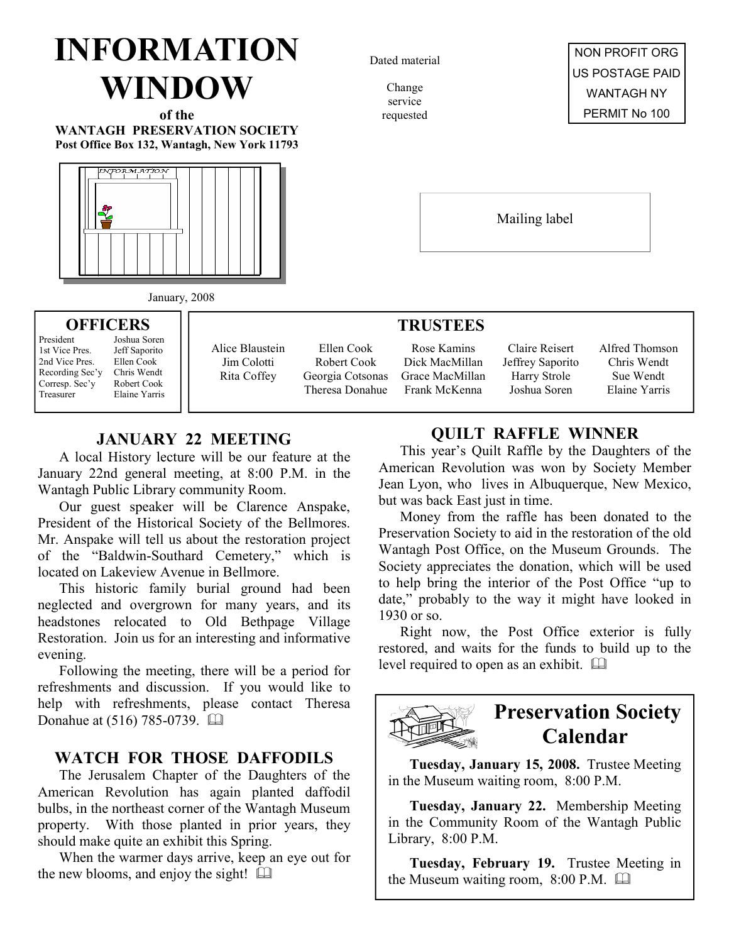# INFORMATION WINDOW

of the WANTAGH PRESERVATION SOCIETY Post Office Box 132, Wantagh, New York 11793



Dated material

Change service requested



Mailing label

#### January, 2008 ח ד

| <b>OFFICERS</b>                                                                                 |                                                                                            |                                               | <b>TRUSTEES</b>                                                  |                                                                   |                                                                    |                                                             |  |
|-------------------------------------------------------------------------------------------------|--------------------------------------------------------------------------------------------|-----------------------------------------------|------------------------------------------------------------------|-------------------------------------------------------------------|--------------------------------------------------------------------|-------------------------------------------------------------|--|
| President<br>1st Vice Pres.<br>2nd Vice Pres.<br>Recording Sec'y<br>Corresp. Sec'y<br>Treasurer | Joshua Soren<br>Jeff Saporito<br>Ellen Cook<br>Chris Wendt<br>Robert Cook<br>Elaine Yarris | Alice Blaustein<br>Jim Colotti<br>Rita Coffey | Ellen Cook<br>Robert Cook<br>Georgia Cotsonas<br>Theresa Donahue | Rose Kamins<br>Dick MacMillan<br>Grace MacMillan<br>Frank McKenna | Claire Reisert<br>Jeffrey Saporito<br>Harry Strole<br>Joshua Soren | Alfred Thomson<br>Chris Wendt<br>Sue Wendt<br>Elaine Yarris |  |

### JANUARY 22 MEETING

A local History lecture will be our feature at the January 22nd general meeting, at 8:00 P.M. in the Wantagh Public Library community Room.

Our guest speaker will be Clarence Anspake, President of the Historical Society of the Bellmores. Mr. Anspake will tell us about the restoration project of the "Baldwin-Southard Cemetery," which is located on Lakeview Avenue in Bellmore.

This historic family burial ground had been neglected and overgrown for many years, and its headstones relocated to Old Bethpage Village Restoration. Join us for an interesting and informative evening.

Following the meeting, there will be a period for refreshments and discussion. If you would like to help with refreshments, please contact Theresa Donahue at (516) 785-0739. [12]

### WATCH FOR THOSE DAFFODILS

The Jerusalem Chapter of the Daughters of the American Revolution has again planted daffodil bulbs, in the northeast corner of the Wantagh Museum property. With those planted in prior years, they should make quite an exhibit this Spring.

When the warmer days arrive, keep an eye out for the new blooms, and enjoy the sight!  $\Box$ 

### QUILT RAFFLE WINNER

This year's Quilt Raffle by the Daughters of the American Revolution was won by Society Member Jean Lyon, who lives in Albuquerque, New Mexico, but was back East just in time.

Money from the raffle has been donated to the Preservation Society to aid in the restoration of the old Wantagh Post Office, on the Museum Grounds. The Society appreciates the donation, which will be used to help bring the interior of the Post Office "up to date," probably to the way it might have looked in 1930 or so.

Right now, the Post Office exterior is fully restored, and waits for the funds to build up to the level required to open as an exhibit.



### Preservation Society Calendar

Tuesday, January 15, 2008. Trustee Meeting in the Museum waiting room, 8:00 P.M.

Tuesday, January 22. Membership Meeting in the Community Room of the Wantagh Public Library, 8:00 P.M.

Tuesday, February 19. Trustee Meeting in the Museum waiting room, 8:00 P.M.